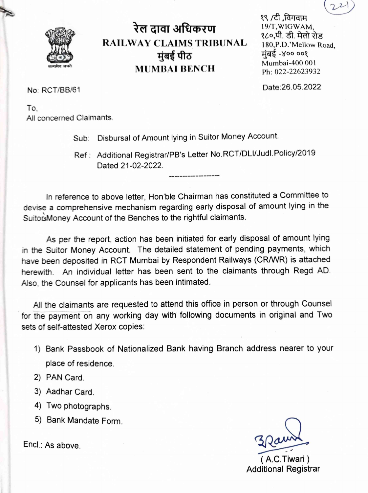

रेल दावा अधिकरण **RAILWAY CLAIMS TRIBUNAL** मुंबई पीठ **MUMBAI BENCH** 

१९ /टी ,विगवाम 19/T, WIGWAM, १८०.पी. डी. मेलो रोड 180, P.D.' Mellow Road. मंबई -४०० ००१ Mumbai-400 001 Ph: 022-22623932

Date: 26.05.2022

No: RCT/BB/61

To. All concerned Claimants.

Sub: Disbursal of Amount lying in Suitor Money Account.

Ref: Additional Registrar/PB's Letter No.RCT/DLI/Judl.Policy/2019 Dated 21-02-2022.

In reference to above letter, Hon'ble Chairman has constituted a Committee to devise a comprehensive mechanism regarding early disposal of amount lying in the SuitorsMoney Account of the Benches to the rightful claimants.

As per the report, action has been initiated for early disposal of amount lying in the Suitor Money Account. The detailed statement of pending payments, which have been deposited in RCT Mumbai by Respondent Railways (CR/WR) is attached herewith. An individual letter has been sent to the claimants through Regd AD. Also, the Counsel for applicants has been intimated.

All the claimants are requested to attend this office in person or through Counsel for the payment on any working day with following documents in original and Two sets of self-attested Xerox copies:

- 1) Bank Passbook of Nationalized Bank having Branch address nearer to your place of residence.
- 2) PAN Card.
- 3) Aadhar Card.
- 4) Two photographs.
- 5) Bank Mandate Form.

 $Encl.: As above.$ 

(A.C.Tiwari) **Additional Registrar**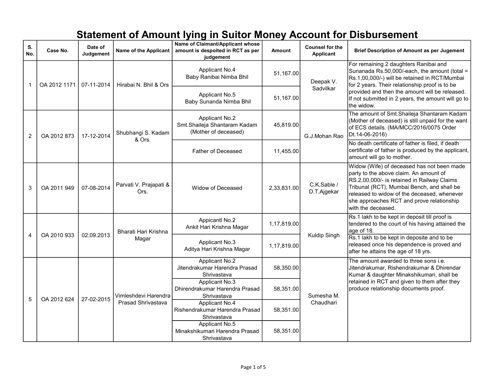| S.<br>No. | Case No.     | Date of<br>Judgement | Name of the Applicant                      | Name of Claimant/Applicant whose<br>amount is despoited in RCT as per<br>judgement | Amount      | <b>Counsel for the</b><br><b>Applicant</b> | <b>Brief Description of Amount as per Jugement</b>                                                                                                                                                                                                                                                              |
|-----------|--------------|----------------------|--------------------------------------------|------------------------------------------------------------------------------------|-------------|--------------------------------------------|-----------------------------------------------------------------------------------------------------------------------------------------------------------------------------------------------------------------------------------------------------------------------------------------------------------------|
| 1         | OA 2012 1171 | 07-11-2014           | Hirabai N. Bhil & Ors                      | Applicant No.4<br>Baby Ranibai Nimba Bhil                                          | 51,167.00   | Deepak V.<br>Sadvilkar                     | For remaining 2 daughters Ranibai and<br>Sunanada Rs.50,000/-each, the amount (total =<br>Rs.1,00,000/-) will be retained in RCT/Mumbai<br>for 2 years. Their relationship proof is to be<br>provided and then the amount will be released.<br>If not submitted in 2 years, the amount will go to<br>the widow. |
|           |              |                      |                                            | Applicant No.5<br>Baby Sunanda Nimba Bhil                                          | 51,167.00   |                                            |                                                                                                                                                                                                                                                                                                                 |
| 2         | OA 2012 873  | 17-12-2014           | Shubhangi S. Kadam<br>& Ors.               | <b>Applicant No.2</b><br>Smt.Shaileja Shantaram Kadam<br>(Mother of deceased)      | 45,819.00   | G.J.Mohan Rao                              | The amount of Smt. Shaileja Shantaram Kadam<br>(Mother of deceased) is still unpaid for the want<br>of ECS details. (MA/MCC/2016/0075 Order<br>Dt.14-06-2016)                                                                                                                                                   |
|           |              |                      |                                            | Father of Deceased                                                                 | 11,455.00   |                                            | No death certificate of father is filed, if death<br>certificate of father is produced by the applicant,<br>amount will go to mother.                                                                                                                                                                           |
| 3         | OA 2011 949  | 07-08-2014           | Parvati V. Prajapati &<br>Ors.             | Widow of Deceased                                                                  | 2,33,831.00 | C.K.Sable /<br>D.T.Ajgekar                 | Widow (Wife) of deceased has not been made<br>party to the above claim. An amount of<br>RS.2,00,000/- is retained in Railway Claims<br>Tribunal (RCT), Mumbai Bench, and shall be<br>released to widow of the deceased, whenever<br>she approaches RCT and prove relationship<br>with the deceased.             |
| 4         | OA 2010 933  | 02.09.2013           | Bharati Hari Krishna<br>Magar              | <b>Appicantl No.2</b><br>Ankit Hari Krishna Magar                                  | 1,17,819.00 | Kuldip Singh                               | Rs.1 lakh to be kept in deposit till proof is<br>tendered to the court of his having attained the<br>age of 18.                                                                                                                                                                                                 |
|           |              |                      |                                            | Applicant No.3<br>Aditya Hari Krishna Magar                                        | 1,17,819.00 |                                            | Rs.1 lakh to be kept in deposite and to be<br>released once his dependence is proved and<br>after he attains the age of 18 yrs.                                                                                                                                                                                 |
| 5         | OA 2012 624  | 27-02-2015           | Vimleshdevi Harendra<br>Prasad Shrivastava | <b>Applicant No.2</b><br>Jitendrakumar Harendra Prasad<br>Shrivastava              | 58,350.00   | Sumesha M.<br>Chaudhari                    | The amount awarded to three sons i.e.<br>Jitendrakumar, Rishendrakumar & Dhirendar<br>Kumar & daughter Minakshikumari, shall be<br>retained in RCT and given to them after they<br>produce relationship documents proof.                                                                                        |
|           |              |                      |                                            | Applicant No.3<br>Dhirendrakumar Harendra Prasad<br>Shrivastava                    | 58,351.00   |                                            |                                                                                                                                                                                                                                                                                                                 |
|           |              |                      |                                            | Applicant No.4<br>Rishendrakumar Harendra Prasad<br>Shrivastava                    | 58,351.00   |                                            |                                                                                                                                                                                                                                                                                                                 |
|           |              |                      |                                            | Applicant No.5<br>Minakshikumari Harendra Prasad<br>Shrivastava                    | 58,351.00   |                                            |                                                                                                                                                                                                                                                                                                                 |

## Statement of Amount lying in Suitor Money Account for Disbursement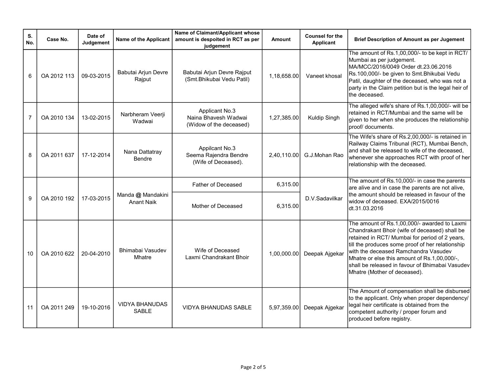| S.<br>No.      | Case No.    | Date of<br>Judgement | Name of the Applicant                  | Name of Claimant/Applicant whose<br>amount is despoited in RCT as per<br>judgement | Amount      | <b>Counsel for the</b><br>Applicant | <b>Brief Description of Amount as per Jugement</b>                                                                                                                                                                                                                                                                                                                             |
|----------------|-------------|----------------------|----------------------------------------|------------------------------------------------------------------------------------|-------------|-------------------------------------|--------------------------------------------------------------------------------------------------------------------------------------------------------------------------------------------------------------------------------------------------------------------------------------------------------------------------------------------------------------------------------|
| 6              | OA 2012 113 | 09-03-2015           | Babutai Arjun Devre<br>Rajput          | Babutai Arjun Devre Rajput<br>(Smt.Bhikubai Vedu Patil)                            | 1,18,658.00 | Vaneet khosal                       | The amount of Rs.1,00,000/- to be kept in RCT/<br>Mumbai as per judgement.<br>MA/MCC/2016/0049 Order dt.23.06.2016<br>Rs.100,000/- be given to Smt. Bhikubai Vedu<br>Patil, daughter of the deceased, who was not a<br>party in the Claim petition but is the legal heir of<br>the deceased.                                                                                   |
| $\overline{7}$ | OA 2010 134 | 13-02-2015           | Narbheram Veerji<br>Wadwai             | Applicant No.3<br>Naina Bhavesh Wadwai<br>(Widow of the deceased)                  | 1,27,385.00 | Kuldip Singh                        | The alleged wife's share of Rs.1,00,000/- will be<br>retained in RCT/Mumbai and the same will be<br>given to her when she produces the relationship<br>proof/ documents.                                                                                                                                                                                                       |
| 8              | OA 2011 637 | 17-12-2014           | Nana Dattatray<br>Bendre               | Appilcant No.3<br>Seema Rajendra Bendre<br>(Wife of Deceased).                     | 2,40,110.00 | G.J.Mohan Rao                       | The Wife's share of Rs.2,00,000/- is retained in<br>Railway Claims Tribunal (RCT), Mumbai Bench,<br>and shall be released to wife of the deceased,<br>whenever she approaches RCT with proof of her<br>relationship with the deceased.                                                                                                                                         |
|                |             |                      |                                        | <b>Father of Deceased</b>                                                          | 6,315.00    | D.V.Sadavilkar                      | The amount of Rs.10,000/- in case the parents<br>are alive and in case the parents are not alive,<br>the amount should be released in favour of the<br>widow of deceased. EXA/2015/0016<br>dt.31.03.2016                                                                                                                                                                       |
| 9              | OA 2010 192 | 17-03-2015           | Manda @ Mandakini<br><b>Anant Naik</b> | Mother of Deceased                                                                 | 6,315.00    |                                     |                                                                                                                                                                                                                                                                                                                                                                                |
| 10             | OA 2010 622 | 20-04-2010           | Bhimabai Vasudev<br>Mhatre             | Wife of Deceased<br>Laxmi Chandrakant Bhoir                                        | 1,00,000.00 | Deepak Ajgekar                      | The amount of Rs.1,00,000/- awarded to Laxmi<br>Chandrakant Bhoir (wife of deceased) shall be<br>retained in RCT/ Mumbai for period of 2 years,<br>till the produces some proof of her relationship<br>with the deceased Ramchandra Vasudev<br>Mhatre or else this amount of Rs.1,00,000/-,<br>shall be released in favour of Bhimabai Vasudev<br>Mhatre (Mother of deceased). |
| 11             | OA 2011 249 | 19-10-2016           | <b>VIDYA BHANUDAS</b><br><b>SABLE</b>  | <b>VIDYA BHANUDAS SABLE</b>                                                        | 5,97,359.00 | Deepak Ajgekar                      | The Amount of compensation shall be disbursed<br>to the applicant. Only when proper dependency/<br>legal heir certificate is obtained from the<br>competent authority / proper forum and<br>produced before registry.                                                                                                                                                          |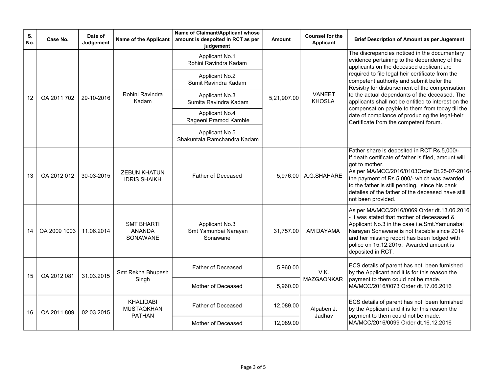| S.<br>No. | Case No.     | Date of<br>Judgement | Name of the Applicant                          | Name of Claimant/Applicant whose<br>amount is despoited in RCT as per<br>judgement | <b>Amount</b> | <b>Counsel for the</b><br>Applicant | <b>Brief Description of Amount as per Jugement</b>                                                                                                                                                                                                                                                                                                                                                                                                                                                                                              |               |                    |           |
|-----------|--------------|----------------------|------------------------------------------------|------------------------------------------------------------------------------------|---------------|-------------------------------------|-------------------------------------------------------------------------------------------------------------------------------------------------------------------------------------------------------------------------------------------------------------------------------------------------------------------------------------------------------------------------------------------------------------------------------------------------------------------------------------------------------------------------------------------------|---------------|--------------------|-----------|
| 12        | OA 2011 702  | 29-10-2016           | Rohini Ravindra<br>Kadam                       | <b>Applicant No.1</b><br>Rohini Ravindra Kadam                                     | 5,21,907.00   | <b>VANEET</b><br><b>KHOSLA</b>      | The discrepancies noticed in the documentary<br>evidence pertaining to the dependency of the<br>applicants on the deceased applicant are<br>required to file legal heir certificate from the<br>competent authority and submit befor the<br>Resistry for disbursement of the compensation<br>to the actual dependants of the deceased. The<br>applicants shall not be entitled to interest on the<br>compensation payble to them from today till the<br>date of compliance of producing the legal-heir<br>Certificate from the competent forum. |               |                    |           |
|           |              |                      |                                                | <b>Applicant No.2</b><br>Sumit Ravindra Kadam                                      |               |                                     |                                                                                                                                                                                                                                                                                                                                                                                                                                                                                                                                                 |               |                    |           |
|           |              |                      |                                                | Applicant No.3<br>Sumita Ravindra Kadam                                            |               |                                     |                                                                                                                                                                                                                                                                                                                                                                                                                                                                                                                                                 |               |                    |           |
|           |              |                      |                                                | <b>Applicant No.4</b><br>Rageeni Pramod Kamble                                     |               |                                     |                                                                                                                                                                                                                                                                                                                                                                                                                                                                                                                                                 |               |                    |           |
|           |              |                      |                                                | Applicant No.5<br>Shakuntala Ramchandra Kadam                                      |               |                                     |                                                                                                                                                                                                                                                                                                                                                                                                                                                                                                                                                 |               |                    |           |
| 13        | OA 2012 012  | 30-03-2015           | <b>ZEBUN KHATUN</b><br><b>IDRIS SHAIKH</b>     | <b>Father of Deceased</b>                                                          | 5.976.00      | A.G.SHAHARE                         | Father share is deposited in RCT Rs.5,000/-<br>If death certificate of father is filed, amount will<br>got to mother.<br>As per MA/MCC/2016/0103Order Dt.25-07-2016-<br>the payment of Rs.5,000/- which was awarded<br>to the father is still pending, since his bank<br>detailes of the father of the deceased have still<br>not been provided.                                                                                                                                                                                                |               |                    |           |
| 14        | OA 2009 1003 | 11.06.2014           | <b>SMT BHARTI</b><br><b>ANANDA</b><br>SONAWANE | Applicant No.3<br>Smt Yamunbai Narayan<br>Sonawane                                 | 31,757.00     | AM DAYAMA                           | As per MA/MCC/2016/0069 Order dt.13.06.2016<br>It was stated that mother of decesased &<br>Applicant No.3 in the case i.e. Smt. Yamunabai<br>Narayan Sonawane is not traceble since 2014<br>and her missing report has been lodged with<br>police on 15.12.2015. Awarded amount is<br>deposited in RCT.                                                                                                                                                                                                                                         |               |                    |           |
| 15        | OA 2012 081  | 31.03.2015           | Smt Rekha Bhupesh<br>Singh                     | <b>Father of Deceased</b>                                                          | 5,960.00      | V.K.<br>MAZGAONKAR                  | ECS details of parent has not been furnished<br>by the Applicant and it is for this reason the<br>payment to them could not be made.<br>MA/MCC/2016/0073 Order dt.17.06.2016                                                                                                                                                                                                                                                                                                                                                                    |               |                    |           |
|           |              |                      |                                                | Mother of Deceased                                                                 | 5,960.00      |                                     |                                                                                                                                                                                                                                                                                                                                                                                                                                                                                                                                                 |               |                    |           |
| 16        | OA 2011 809  | 02.03.2015           | KHALIDABI<br><b>MUSTAQKHAN</b>                 | Father of Deceased                                                                 | 12,089.00     | Alpaben J.                          | ECS details of parent has not been furnished<br>by the Applicant and it is for this reason the                                                                                                                                                                                                                                                                                                                                                                                                                                                  |               |                    |           |
|           |              |                      |                                                |                                                                                    |               |                                     |                                                                                                                                                                                                                                                                                                                                                                                                                                                                                                                                                 | <b>PATHAN</b> | Mother of Deceased | 12,089.00 |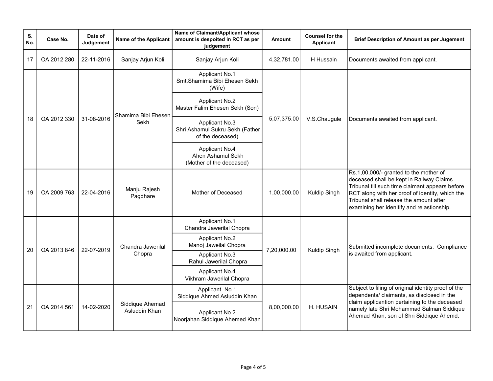| S.<br>No. | Case No.    | Date of<br>Judgement | Name of the Applicant       | Name of Claimant/Applicant whose<br>amount is despoited in RCT as per<br>judgement | Amount                           | <b>Counsel for the</b><br>Applicant                     | <b>Brief Description of Amount as per Jugement</b>                                                                                                                                                                                                                                |
|-----------|-------------|----------------------|-----------------------------|------------------------------------------------------------------------------------|----------------------------------|---------------------------------------------------------|-----------------------------------------------------------------------------------------------------------------------------------------------------------------------------------------------------------------------------------------------------------------------------------|
| 17        | OA 2012 280 | 22-11-2016           | Sanjay Arjun Koli           | Sanjay Arjun Koli                                                                  | 4,32,781.00                      | H Hussain                                               | Documents awaited from applicant.                                                                                                                                                                                                                                                 |
|           | OA 2012 330 |                      | Shamima Bibi Ehesen<br>Sekh | Applicant No.1<br>Smt.Shamima Bibi Ehesen Sekh<br>(Wife)                           |                                  | V.S.Chaugule                                            | Documents awaited from applicant.                                                                                                                                                                                                                                                 |
|           |             |                      |                             | <b>Applicant No.2</b><br>Master Falim Ehesen Sekh (Son)                            |                                  |                                                         |                                                                                                                                                                                                                                                                                   |
| 18        |             | 31-08-2016           |                             | Applicant No.3<br>Shri Ashamul Sukru Sekh (Father<br>of the deceased)              | 5,07,375.00                      |                                                         |                                                                                                                                                                                                                                                                                   |
|           |             |                      |                             | <b>Applicant No.4</b><br>Ahen Ashamul Sekh<br>(Mother of the deceased)             |                                  |                                                         |                                                                                                                                                                                                                                                                                   |
| 19        | OA 2009 763 | 22-04-2016           | Manju Rajesh<br>Pagdhare    | Mother of Deceased                                                                 | 1,00,000.00                      | Kuldip Singh                                            | Rs.1,00,000/- granted to the mother of<br>deceased shall be kept in Railway Claims<br>Tribunal till such time claimant appears before<br>RCT along with her proof of identity, which the<br>Tribunal shall release the amount after<br>examining her idenitify and relastionship. |
|           | OA 2013 846 | 22-07-2019           | Chandra Jawerilal<br>Chopra | <b>Applicant No.1</b><br>Chandra Jawerilal Chopra                                  | 7,20,000.00                      | <b>Kuldip Singh</b>                                     | Submitted incomplete documents. Compliance<br>is awaited from applicant.                                                                                                                                                                                                          |
| 20        |             |                      |                             | <b>Applicant No.2</b><br>Manoj Jaweilal Chopra                                     |                                  |                                                         |                                                                                                                                                                                                                                                                                   |
|           |             |                      |                             | Applicant No.3<br>Rahul Jawerilal Chopra                                           |                                  |                                                         |                                                                                                                                                                                                                                                                                   |
|           |             |                      |                             | <b>Applicant No.4</b><br>Vikhram Jawerilal Chopra                                  |                                  |                                                         |                                                                                                                                                                                                                                                                                   |
| 21        | OA 2014 561 | 14-02-2020           |                             | Applicant No.1<br>Siddique Ahmed Asluddin Khan                                     |                                  |                                                         | Subject to filing of original identity proof of the<br>dependents/ claimants, as disclosed in the                                                                                                                                                                                 |
|           |             |                      |                             |                                                                                    | Siddique Ahemad<br>Asluddin Khan | <b>Applicant No.2</b><br>Noorjahan Siddique Ahemed Khan | 8,00,000.00                                                                                                                                                                                                                                                                       |